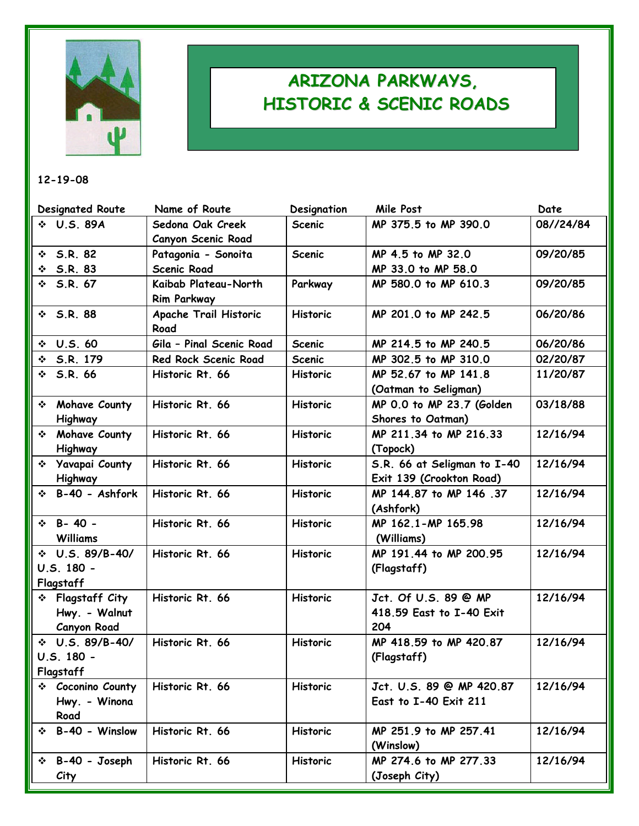

## ARIZONA PARKWAYS, HISTORIC & SCENIC ROADS

## 12-19-08

| <b>Designated Route</b>     | Name of Route            | Designation     | Mile Post                   | Date      |
|-----------------------------|--------------------------|-----------------|-----------------------------|-----------|
| ❖ U.S. 89A                  | Sedona Oak Creek         | <b>Scenic</b>   | MP 375.5 to MP 390.0        | 08//24/84 |
|                             | Canyon Scenic Road       |                 |                             |           |
| $\div$ 5.R. 82              | Patagonia - Sonoita      | <b>Scenic</b>   | MP 4.5 to MP 32.0           | 09/20/85  |
| $\div$ 5.R. 83              | <b>Scenic Road</b>       |                 | MP 33.0 to MP 58.0          |           |
| $\div$ 5.R. 67              | Kaibab Plateau-North     | Parkway         | MP 580.0 to MP 610.3        | 09/20/85  |
|                             | <b>Rim Parkway</b>       |                 |                             |           |
| $\div$ 5.R. 88              | Apache Trail Historic    | <b>Historic</b> | MP 201.0 to MP 242.5        | 06/20/86  |
|                             | Road                     |                 |                             |           |
| $4$ U.S. 60                 | Gila - Pinal Scenic Road | <b>Scenic</b>   | MP 214.5 to MP 240.5        | 06/20/86  |
| $\div$ 5.R. 179             | Red Rock Scenic Road     | <b>Scenic</b>   | MP 302.5 to MP 310.0        | 02/20/87  |
| $\div$ 5.R. 66              | Historic Rt. 66          | <b>Historic</b> | MP 52.67 to MP 141.8        | 11/20/87  |
|                             |                          |                 | (Oatman to Seligman)        |           |
| * Mohave County             | Historic Rt. 66          | <b>Historic</b> | MP 0.0 to MP 23.7 (Golden   | 03/18/88  |
| Highway                     |                          |                 | Shores to Oatman)           |           |
| Mohave County<br>$\bullet$  | Historic Rt. 66          | <b>Historic</b> | MP 211.34 to MP 216.33      | 12/16/94  |
| Highway                     |                          |                 | (Topock)                    |           |
| <b>Yavapai County</b><br>÷. | Historic Rt. 66          | <b>Historic</b> | S.R. 66 at Seligman to I-40 | 12/16/94  |
| Highway                     |                          |                 | Exit 139 (Crookton Road)    |           |
| $\div$ B-40 - Ashfork       | Historic Rt. 66          | <b>Historic</b> | MP 144.87 to MP 146.37      | 12/16/94  |
|                             |                          |                 | (Ashfork)                   |           |
| $\div$ B-40 -               | Historic Rt. 66          | <b>Historic</b> | MP 162.1-MP 165.98          | 12/16/94  |
| <b>Williams</b>             |                          |                 | (Williams)                  |           |
| $\cdot$ ∪.S. 89/B-40/       | Historic Rt. 66          | <b>Historic</b> | MP 191.44 to MP 200.95      | 12/16/94  |
| $U.S.$ 180 -                |                          |                 | (Flagstaff)                 |           |
| Flagstaff                   |                          |                 |                             |           |
| * Flagstaff City            | Historic Rt. 66          | <b>Historic</b> | Jct. Of U.S. 89 @ MP        | 12/16/94  |
| Hwy. - Walnut               |                          |                 | 418.59 East to I-40 Exit    |           |
| Canyon Road                 |                          |                 | 204                         |           |
| $\cdot$ ∪.S. 89/B-40/       | Historic Rt. 66          | <b>Historic</b> | MP 418.59 to MP 420.87      | 12/16/94  |
| $U.S.$ 180 -                |                          |                 | (Flagstaff)                 |           |
| Flagstaff                   |                          |                 |                             |           |
| ❖ Coconino County           | Historic Rt. 66          | <b>Historic</b> | Jct. U.S. 89 @ MP 420.87    | 12/16/94  |
| Hwy. - Winona               |                          |                 | East to I-40 Exit 211       |           |
| Road                        |                          |                 |                             |           |
| B-40 - Winslow<br>❖         | Historic Rt. 66          | <b>Historic</b> | MP 251.9 to MP 257.41       | 12/16/94  |
|                             |                          |                 | (Winslow)                   |           |
| $\div$ B-40 - Joseph        | Historic Rt. 66          | <b>Historic</b> | MP 274.6 to MP 277.33       | 12/16/94  |
| City                        |                          |                 | (Joseph City)               |           |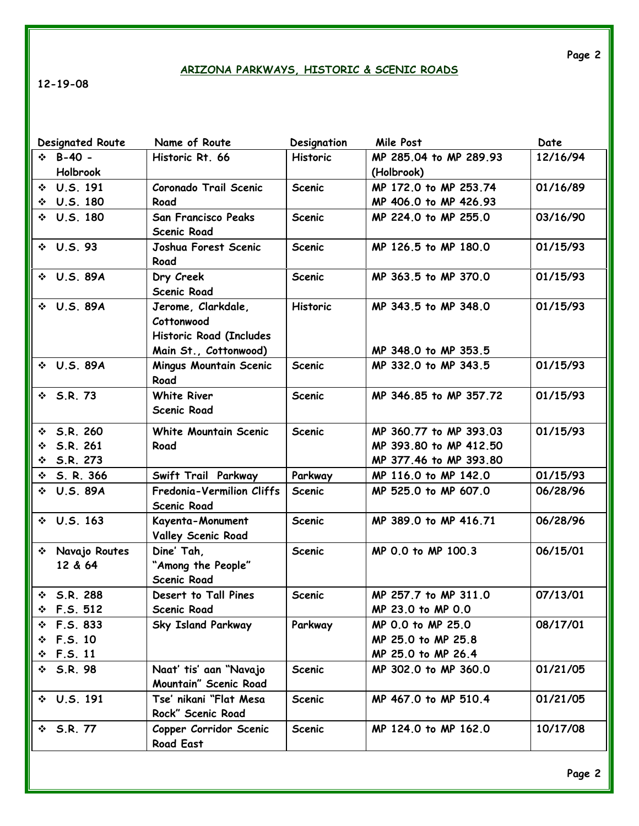## ARIZONA PARKWAYS, HISTORIC & SCENIC ROADS

12-19-08

| <b>Designated Route</b>    | Name of Route                                                                        | Designation     | Mile Post                                    | Date     |
|----------------------------|--------------------------------------------------------------------------------------|-----------------|----------------------------------------------|----------|
| $\div$ B-40 -              | Historic Rt. 66                                                                      | <b>Historic</b> | MP 285.04 to MP 289.93                       | 12/16/94 |
| <b>Holbrook</b>            |                                                                                      |                 | (Holbrook)                                   |          |
| $\div$ U.S. 191            | Coronado Trail Scenic                                                                | <b>Scenic</b>   | MP 172.0 to MP 253.74                        | 01/16/89 |
| $\div$ U.S. 180            | Road                                                                                 |                 | MP 406.0 to MP 426.93                        |          |
| $\div$ U.S. 180            | <b>San Francisco Peaks</b><br><b>Scenic Road</b>                                     | <b>Scenic</b>   | MP 224.0 to MP 255.0                         | 03/16/90 |
| $\div$ U.S. 93             | Joshua Forest Scenic<br>Road                                                         | <b>Scenic</b>   | MP 126.5 to MP 180.0                         | 01/15/93 |
| ❖ U.S. 89A                 | Dry Creek<br><b>Scenic Road</b>                                                      | <b>Scenic</b>   | MP 363.5 to MP 370.0                         | 01/15/93 |
| ❖ U.S. 89A                 | Jerome, Clarkdale,<br>Cottonwood<br>Historic Road (Includes<br>Main St., Cottonwood) | <b>Historic</b> | MP 343.5 to MP 348.0<br>MP 348.0 to MP 353.5 | 01/15/93 |
| ❖ U.S. 89A                 | Mingus Mountain Scenic<br>Road                                                       | <b>Scenic</b>   | MP 332.0 to MP 343.5                         | 01/15/93 |
| $\div$ S.R. 73             | <b>White River</b><br><b>Scenic Road</b>                                             | <b>Scenic</b>   | MP 346.85 to MP 357.72                       | 01/15/93 |
| $\div$ 5.R. 260            | White Mountain Scenic                                                                | <b>Scenic</b>   | MP 360.77 to MP 393.03                       | 01/15/93 |
| S.R. 261                   | Road                                                                                 |                 | MP 393.80 to MP 412.50                       |          |
| S.R. 273<br>❖              |                                                                                      |                 | MP 377.46 to MP 393.80                       |          |
| $\div$ 5. R. 366           | Swift Trail Parkway                                                                  | Parkway         | MP 116.0 to MP 142.0                         | 01/15/93 |
| ❖ U.S. 89A                 | Fredonia-Vermilion Cliffs<br><b>Scenic Road</b>                                      | <b>Scenic</b>   | MP 525.0 to MP 607.0                         | 06/28/96 |
| $\div$ U.S. 163            | Kayenta-Monument<br><b>Valley Scenic Road</b>                                        | <b>Scenic</b>   | MP 389.0 to MP 416.71                        | 06/28/96 |
| * Navajo Routes<br>12 & 64 | Dine' Tah,<br>"Among the People"<br><b>Scenic Road</b>                               | <b>Scenic</b>   | MP 0.0 to MP 100.3                           | 06/15/01 |
| $\div$ 5.R. 288            | Desert to Tall Pines                                                                 | <b>Scenic</b>   | MP 257.7 to MP 311.0                         | 07/13/01 |
| $\div$ F.S. 512            | <b>Scenic Road</b>                                                                   |                 | MP 23.0 to MP 0.0                            |          |
| $\div$ F.S. 833            | <b>Sky Island Parkway</b>                                                            | Parkway         | MP 0.0 to MP 25.0                            | 08/17/01 |
| $F.S.$ 10<br>❖             |                                                                                      |                 | MP 25.0 to MP 25.8                           |          |
| F.S. 11<br>❖               |                                                                                      |                 | MP 25.0 to MP 26.4                           |          |
| $\div$ 5.R. 98             | Naat' tis' aan "Navajo<br>Mountain" Scenic Road                                      | <b>Scenic</b>   | MP 302.0 to MP 360.0                         | 01/21/05 |
| $\div$ U.S. 191            | Tse' nikani "Flat Mesa<br>Rock" Scenic Road                                          | <b>Scenic</b>   | MP 467.0 to MP 510.4                         | 01/21/05 |
| $\div$ 5.R. 77             | Copper Corridor Scenic<br>Road East                                                  | <b>Scenic</b>   | MP 124.0 to MP 162.0                         | 10/17/08 |

Page 2